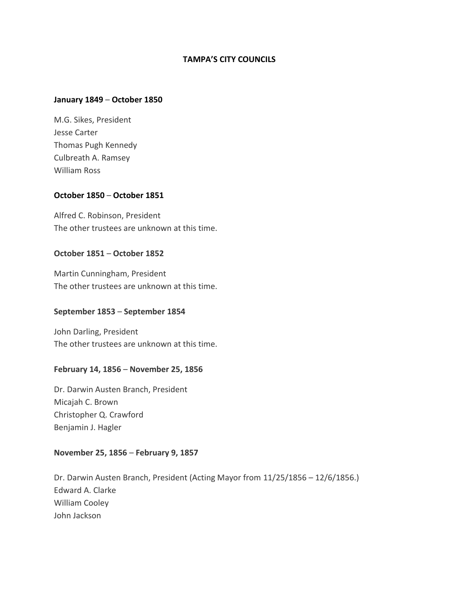# **TAMPA'S CITY COUNCILS**

#### **January 1849** – **October 1850**

M.G. Sikes, President Jesse Carter Thomas Pugh Kennedy Culbreath A. Ramsey William Ross

## **October 1850** – **October 1851**

Alfred C. Robinson, President The other trustees are unknown at this time.

#### **October 1851** – **October 1852**

Martin Cunningham, President The other trustees are unknown at this time.

#### **September 1853** – **September 1854**

John Darling, President The other trustees are unknown at this time.

#### **February 14, 1856** – **November 25, 1856**

Dr. Darwin Austen Branch, President Micajah C. Brown Christopher Q. Crawford Benjamin J. Hagler

#### **November 25, 1856** – **February 9, 1857**

Dr. Darwin Austen Branch, President (Acting Mayor from 11/25/1856 – 12/6/1856.) Edward A. Clarke William Cooley John Jackson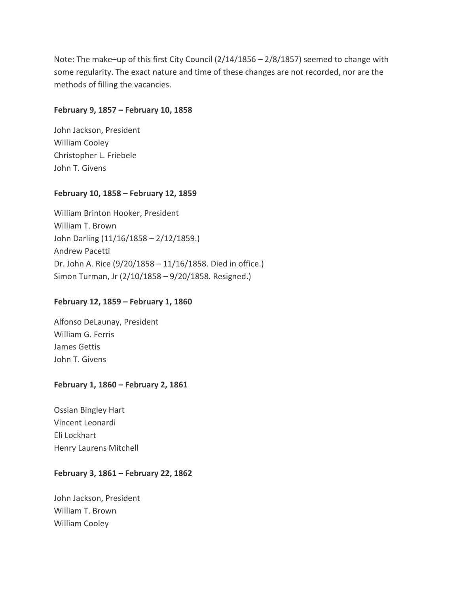Note: The make–up of this first City Council  $(2/14/1856 - 2/8/1857)$  seemed to change with some regularity. The exact nature and time of these changes are not recorded, nor are the methods of filling the vacancies.

# **February 9, 1857 – February 10, 1858**

John Jackson, President William Cooley Christopher L. Friebele John T. Givens

# **February 10, 1858 – February 12, 1859**

William Brinton Hooker, President William T. Brown John Darling (11/16/1858 – 2/12/1859.) Andrew Pacetti Dr. John A. Rice (9/20/1858 – 11/16/1858. Died in office.) Simon Turman, Jr (2/10/1858 – 9/20/1858. Resigned.)

# **February 12, 1859 – February 1, 1860**

Alfonso DeLaunay, President William G. Ferris James Gettis John T. Givens

# **February 1, 1860 – February 2, 1861**

Ossian Bingley Hart Vincent Leonardi Eli Lockhart Henry Laurens Mitchell

# **February 3, 1861 – February 22, 1862**

John Jackson, President William T. Brown William Cooley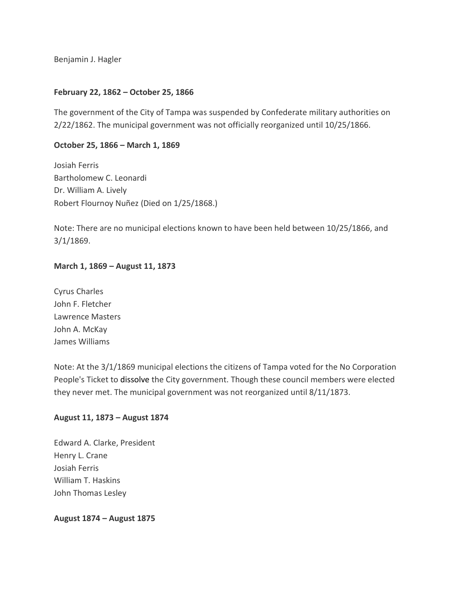Benjamin J. Hagler

# **February 22, 1862 – October 25, 1866**

The government of the City of Tampa was suspended by Confederate military authorities on 2/22/1862. The municipal government was not officially reorganized until 10/25/1866.

## **October 25, 1866 – March 1, 1869**

Josiah Ferris Bartholomew C. Leonardi Dr. William A. Lively Robert Flournoy Nuñez (Died on 1/25/1868.)

Note: There are no municipal elections known to have been held between 10/25/1866, and 3/1/1869.

# **March 1, 1869 – August 11, 1873**

Cyrus Charles John F. Fletcher Lawrence Masters John A. McKay James Williams

Note: At the 3/1/1869 municipal elections the citizens of Tampa voted for the No Corporation People's Ticket to dissolve the City government. Though these council members were elected they never met. The municipal government was not reorganized until 8/11/1873.

# **August 11, 1873 – August 1874**

Edward A. Clarke, President Henry L. Crane Josiah Ferris William T. Haskins John Thomas Lesley

## **August 1874 – August 1875**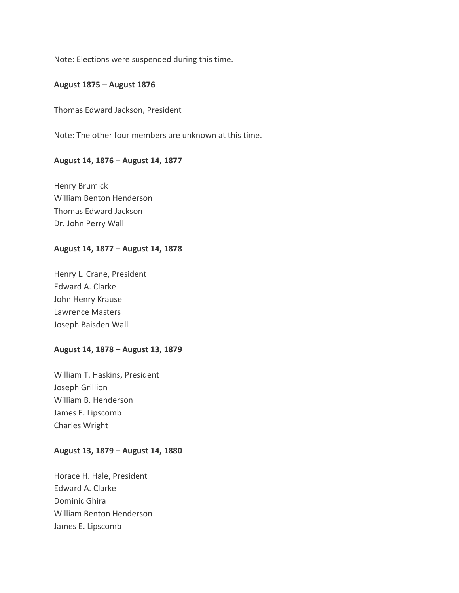Note: Elections were suspended during this time.

# **August 1875 – August 1876**

Thomas Edward Jackson, President

Note: The other four members are unknown at this time.

#### **August 14, 1876 – August 14, 1877**

Henry Brumick William Benton Henderson Thomas Edward Jackson Dr. John Perry Wall

#### **August 14, 1877 – August 14, 1878**

Henry L. Crane, President Edward A. Clarke John Henry Krause Lawrence Masters Joseph Baisden Wall

#### **August 14, 1878 – August 13, 1879**

William T. Haskins, President Joseph Grillion William B. Henderson James E. Lipscomb Charles Wright

#### **August 13, 1879 – August 14, 1880**

Horace H. Hale, President Edward A. Clarke Dominic Ghira William Benton Henderson James E. Lipscomb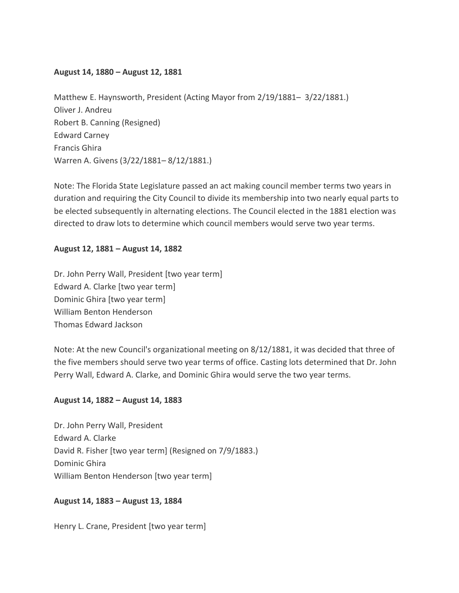## **August 14, 1880 – August 12, 1881**

Matthew E. Haynsworth, President (Acting Mayor from 2/19/1881– 3/22/1881.) Oliver J. Andreu Robert B. Canning (Resigned) Edward Carney Francis Ghira Warren A. Givens (3/22/1881– 8/12/1881.)

Note: The Florida State Legislature passed an act making council member terms two years in duration and requiring the City Council to divide its membership into two nearly equal parts to be elected subsequently in alternating elections. The Council elected in the 1881 election was directed to draw lots to determine which council members would serve two year terms.

# **August 12, 1881 – August 14, 1882**

Dr. John Perry Wall, President [two year term] Edward A. Clarke [two year term] Dominic Ghira [two year term] William Benton Henderson Thomas Edward Jackson

Note: At the new Council's organizational meeting on 8/12/1881, it was decided that three of the five members should serve two year terms of office. Casting lots determined that Dr. John Perry Wall, Edward A. Clarke, and Dominic Ghira would serve the two year terms.

## **August 14, 1882 – August 14, 1883**

Dr. John Perry Wall, President Edward A. Clarke David R. Fisher [two year term] (Resigned on 7/9/1883.) Dominic Ghira William Benton Henderson [two year term]

## **August 14, 1883 – August 13, 1884**

Henry L. Crane, President [two year term]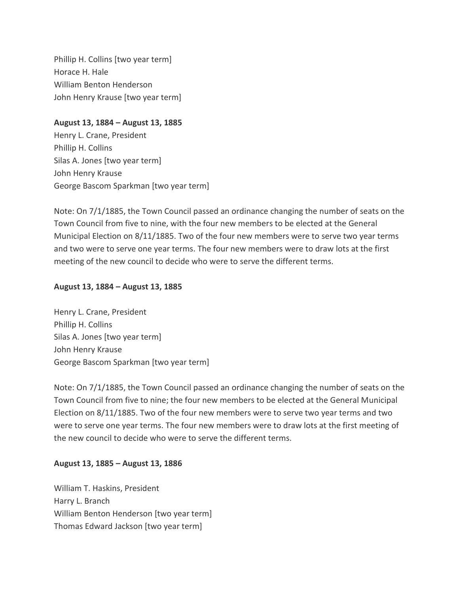Phillip H. Collins [two year term] Horace H. Hale William Benton Henderson John Henry Krause [two year term]

**August 13, 1884 – August 13, 1885** Henry L. Crane, President Phillip H. Collins Silas A. Jones [two year term] John Henry Krause George Bascom Sparkman [two year term]

Note: On 7/1/1885, the Town Council passed an ordinance changing the number of seats on the Town Council from five to nine, with the four new members to be elected at the General Municipal Election on 8/11/1885. Two of the four new members were to serve two year terms and two were to serve one year terms. The four new members were to draw lots at the first meeting of the new council to decide who were to serve the different terms.

## **August 13, 1884 – August 13, 1885**

Henry L. Crane, President Phillip H. Collins Silas A. Jones [two year term] John Henry Krause George Bascom Sparkman [two year term]

Note: On 7/1/1885, the Town Council passed an ordinance changing the number of seats on the Town Council from five to nine; the four new members to be elected at the General Municipal Election on 8/11/1885. Two of the four new members were to serve two year terms and two were to serve one year terms. The four new members were to draw lots at the first meeting of the new council to decide who were to serve the different terms.

## **August 13, 1885 – August 13, 1886**

William T. Haskins, President Harry L. Branch William Benton Henderson [two year term] Thomas Edward Jackson [two year term]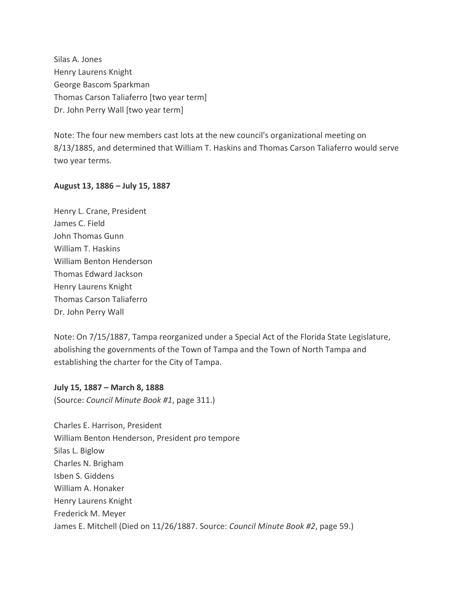Silas A. Jones Henry Laurens Knight George Bascom Sparkman Thomas Carson Taliaferro [two year term] Dr. John Perry Wall [two year term]

Note: The four new members cast lots at the new council's organizational meeting on 8/13/1885, and determined that William T. Haskins and Thomas Carson Taliaferro would serve two year terms.

#### **August 13, 1886 – July 15, 1887**

Henry L. Crane, President James C. Field John Thomas Gunn William T. Haskins William Benton Henderson Thomas Edward Jackson Henry Laurens Knight Thomas Carson Taliaferro Dr. John Perry Wall

Note: On 7/15/1887, Tampa reorganized under a Special Act of the Florida State Legislature, abolishing the governments of the Town of Tampa and the Town of North Tampa and establishing the charter for the City of Tampa.

**July 15, 1887 – March 8, 1888**

(Source: *Council Minute Book #1*, page 311.)

Charles E. Harrison, President William Benton Henderson, President pro tempore Silas L. Biglow Charles N. Brigham Isben S. Giddens William A. Honaker Henry Laurens Knight Frederick M. Meyer James E. Mitchell (Died on 11/26/1887. Source: *Council Minute Book #2*, page 59.)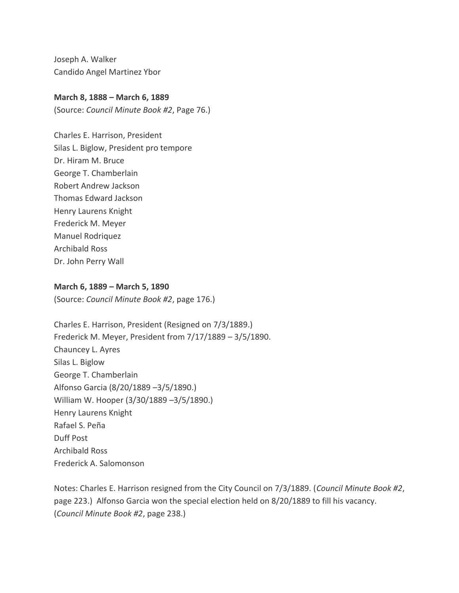Joseph A. Walker Candido Angel Martinez Ybor

## **March 8, 1888 – March 6, 1889**

(Source: *Council Minute Book #2*, Page 76.)

Charles E. Harrison, President Silas L. Biglow, President pro tempore Dr. Hiram M. Bruce George T. Chamberlain Robert Andrew Jackson Thomas Edward Jackson Henry Laurens Knight Frederick M. Meyer Manuel Rodriquez Archibald Ross Dr. John Perry Wall

#### **March 6, 1889 – March 5, 1890**

(Source: *Council Minute Book #2*, page 176.)

Charles E. Harrison, President (Resigned on 7/3/1889.) Frederick M. Meyer, President from 7/17/1889 – 3/5/1890. Chauncey L. Ayres Silas L. Biglow George T. Chamberlain Alfonso Garcia (8/20/1889 –3/5/1890.) William W. Hooper (3/30/1889 –3/5/1890.) Henry Laurens Knight Rafael S. Peña Duff Post Archibald Ross Frederick A. Salomonson

Notes: Charles E. Harrison resigned from the City Council on 7/3/1889. (*Council Minute Book #2*, page 223.) Alfonso Garcia won the special election held on 8/20/1889 to fill his vacancy. (*Council Minute Book #2*, page 238.)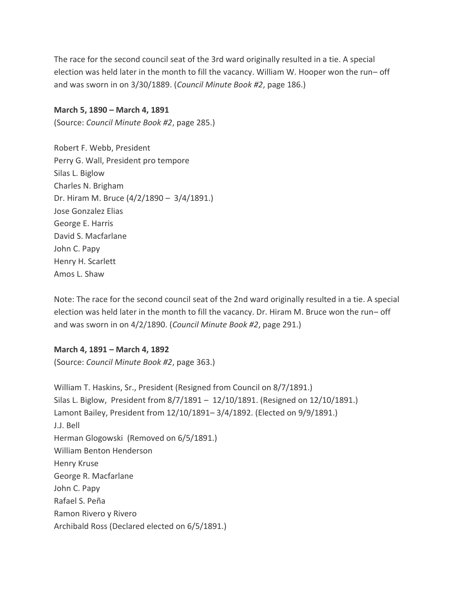The race for the second council seat of the 3rd ward originally resulted in a tie. A special election was held later in the month to fill the vacancy. William W. Hooper won the run– off and was sworn in on 3/30/1889. (*Council Minute Book #2*, page 186.)

## **March 5, 1890 – March 4, 1891**

(Source: *Council Minute Book #2*, page 285.)

Robert F. Webb, President Perry G. Wall, President pro tempore Silas L. Biglow Charles N. Brigham Dr. Hiram M. Bruce (4/2/1890 – 3/4/1891.) Jose Gonzalez Elias George E. Harris David S. Macfarlane John C. Papy Henry H. Scarlett Amos L. Shaw

Note: The race for the second council seat of the 2nd ward originally resulted in a tie. A special election was held later in the month to fill the vacancy. Dr. Hiram M. Bruce won the run– off and was sworn in on 4/2/1890. (*Council Minute Book #2*, page 291.)

## **March 4, 1891 – March 4, 1892**

(Source: *Council Minute Book #2*, page 363.)

William T. Haskins, Sr., President (Resigned from Council on 8/7/1891.) Silas L. Biglow, President from 8/7/1891 – 12/10/1891. (Resigned on 12/10/1891.) Lamont Bailey, President from 12/10/1891– 3/4/1892. (Elected on 9/9/1891.) J.J. Bell Herman Glogowski (Removed on 6/5/1891.) William Benton Henderson Henry Kruse George R. Macfarlane John C. Papy Rafael S. Peña Ramon Rivero y Rivero Archibald Ross (Declared elected on 6/5/1891.)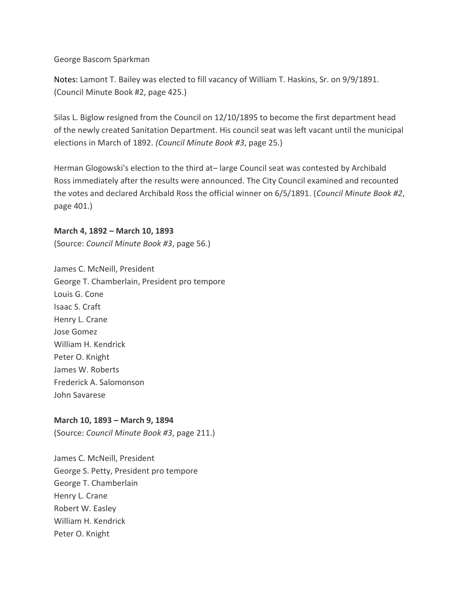George Bascom Sparkman

Notes: Lamont T. Bailey was elected to fill vacancy of William T. Haskins, Sr. on 9/9/1891. (Council Minute Book #2, page 425.)

Silas L. Biglow resigned from the Council on 12/10/1895 to become the first department head of the newly created Sanitation Department. His council seat was left vacant until the municipal elections in March of 1892. *(Council Minute Book #3*, page 25.)

Herman Glogowski's election to the third at– large Council seat was contested by Archibald Ross immediately after the results were announced. The City Council examined and recounted the votes and declared Archibald Ross the official winner on 6/5/1891. (*Council Minute Book #2*, page 401.)

**March 4, 1892 – March 10, 1893** (Source: *Council Minute Book #3*, page 56.)

James C. McNeill, President George T. Chamberlain, President pro tempore Louis G. Cone Isaac S. Craft Henry L. Crane Jose Gomez William H. Kendrick Peter O. Knight James W. Roberts Frederick A. Salomonson John Savarese

# **March 10, 1893 – March 9, 1894**

(Source: *Council Minute Book #3*, page 211.)

James C. McNeill, President George S. Petty, President pro tempore George T. Chamberlain Henry L. Crane Robert W. Easley William H. Kendrick Peter O. Knight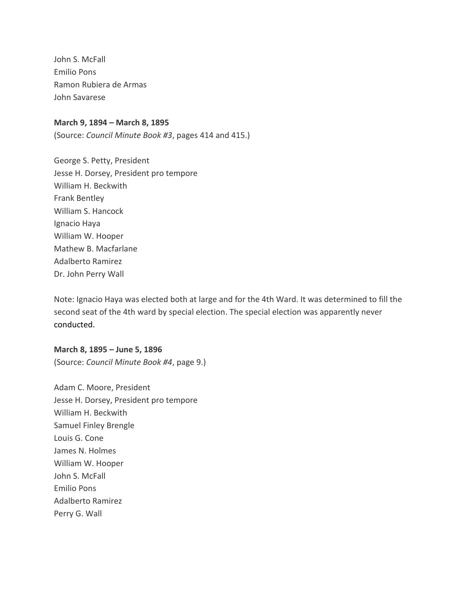John S. McFall Emilio Pons Ramon Rubiera de Armas John Savarese

#### **March 9, 1894 – March 8, 1895**

(Source: *Council Minute Book #3*, pages 414 and 415.)

George S. Petty, President Jesse H. Dorsey, President pro tempore William H. Beckwith Frank Bentley William S. Hancock Ignacio Haya William W. Hooper Mathew B. Macfarlane Adalberto Ramirez Dr. John Perry Wall

Note: Ignacio Haya was elected both at large and for the 4th Ward. It was determined to fill the second seat of the 4th ward by special election. The special election was apparently never conducted.

**March 8, 1895 – June 5, 1896** (Source: *Council Minute Book #4*, page 9.)

Adam C. Moore, President Jesse H. Dorsey, President pro tempore William H. Beckwith Samuel Finley Brengle Louis G. Cone James N. Holmes William W. Hooper John S. McFall Emilio Pons Adalberto Ramirez Perry G. Wall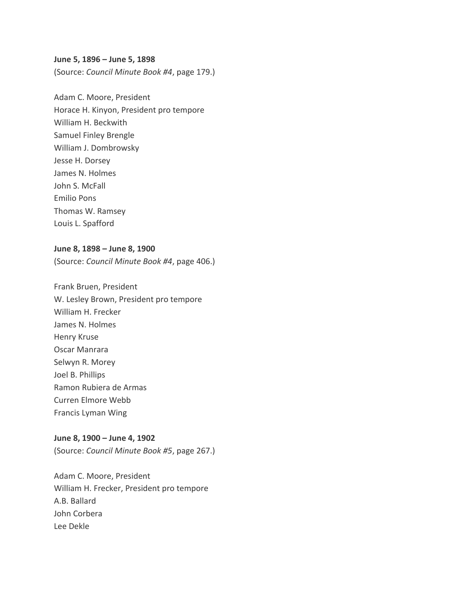#### **June 5, 1896 – June 5, 1898**

(Source: *Council Minute Book #4*, page 179.)

Adam C. Moore, President Horace H. Kinyon, President pro tempore William H. Beckwith Samuel Finley Brengle William J. Dombrowsky Jesse H. Dorsey James N. Holmes John S. McFall Emilio Pons Thomas W. Ramsey Louis L. Spafford

#### **June 8, 1898 – June 8, 1900**

(Source: *Council Minute Book #4*, page 406.)

Frank Bruen, President W. Lesley Brown, President pro tempore William H. Frecker James N. Holmes Henry Kruse Oscar Manrara Selwyn R. Morey Joel B. Phillips Ramon Rubiera de Armas Curren Elmore Webb Francis Lyman Wing

#### **June 8, 1900 – June 4, 1902**

(Source: *Council Minute Book #5*, page 267.)

Adam C. Moore, President William H. Frecker, President pro tempore A.B. Ballard John Corbera Lee Dekle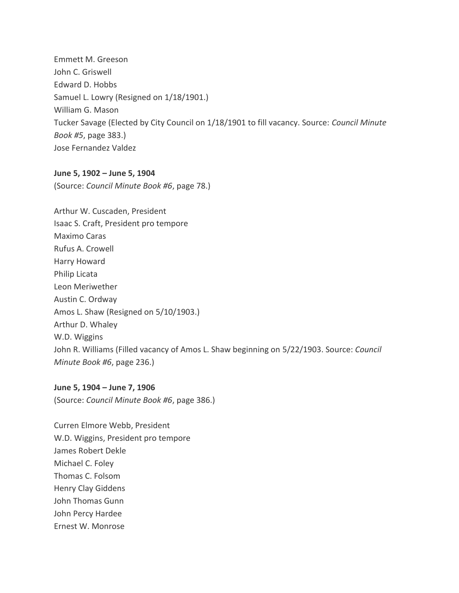Emmett M. Greeson John C. Griswell Edward D. Hobbs Samuel L. Lowry (Resigned on 1/18/1901.) William G. Mason Tucker Savage (Elected by City Council on 1/18/1901 to fill vacancy. Source: *Council Minute Book #5*, page 383.) Jose Fernandez Valdez

#### **June 5, 1902 – June 5, 1904**

(Source: *Council Minute Book #6*, page 78.)

Arthur W. Cuscaden, President Isaac S. Craft, President pro tempore Maximo Caras Rufus A. Crowell Harry Howard Philip Licata Leon Meriwether Austin C. Ordway Amos L. Shaw (Resigned on 5/10/1903.) Arthur D. Whaley W.D. Wiggins John R. Williams (Filled vacancy of Amos L. Shaw beginning on 5/22/1903. Source: *Council Minute Book #6*, page 236.)

**June 5, 1904 – June 7, 1906** (Source: *Council Minute Book #6*, page 386.)

Curren Elmore Webb, President W.D. Wiggins, President pro tempore James Robert Dekle Michael C. Foley Thomas C. Folsom Henry Clay Giddens John Thomas Gunn John Percy Hardee Ernest W. Monrose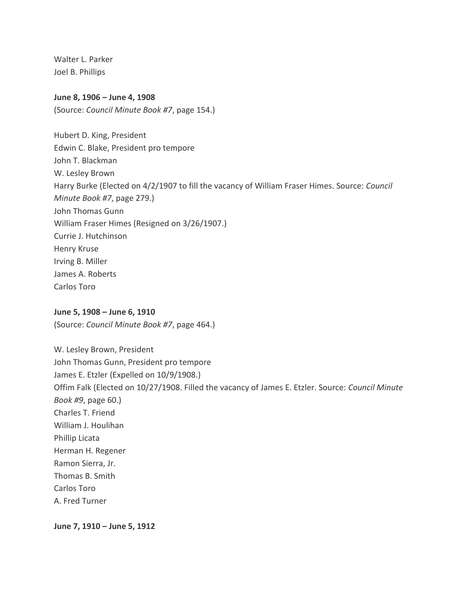Walter L. Parker Joel B. Phillips

## **June 8, 1906 – June 4, 1908**

(Source: *Council Minute Book #7*, page 154.)

Hubert D. King, President Edwin C. Blake, President pro tempore John T. Blackman W. Lesley Brown Harry Burke (Elected on 4/2/1907 to fill the vacancy of William Fraser Himes. Source: *Council Minute Book #7*, page 279.) John Thomas Gunn William Fraser Himes (Resigned on 3/26/1907.) Currie J. Hutchinson Henry Kruse Irving B. Miller James A. Roberts Carlos Toro

## **June 5, 1908 – June 6, 1910**

(Source: *Council Minute Book #7*, page 464.)

W. Lesley Brown, President John Thomas Gunn, President pro tempore James E. Etzler (Expelled on 10/9/1908.) Offim Falk (Elected on 10/27/1908. Filled the vacancy of James E. Etzler. Source: *Council Minute Book #9*, page 60.) Charles T. Friend William J. Houlihan Phillip Licata Herman H. Regener Ramon Sierra, Jr. Thomas B. Smith Carlos Toro A. Fred Turner

**June 7, 1910 – June 5, 1912**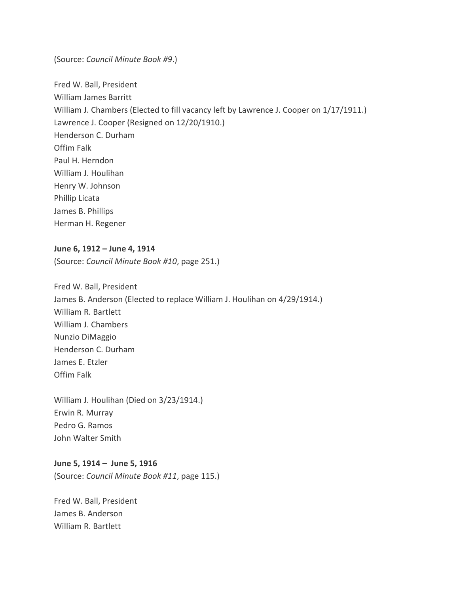(Source: *Council Minute Book #9*.)

Fred W. Ball, President William James Barritt William J. Chambers (Elected to fill vacancy left by Lawrence J. Cooper on  $1/17/1911$ .) Lawrence J. Cooper (Resigned on 12/20/1910.) Henderson C. Durham Offim Falk Paul H. Herndon William J. Houlihan Henry W. Johnson Phillip Licata James B. Phillips Herman H. Regener

## **June 6, 1912 – June 4, 1914**

(Source: *Council Minute Book #10*, page 251.)

Fred W. Ball, President James B. Anderson (Elected to replace William J. Houlihan on 4/29/1914.) William R. Bartlett William J. Chambers Nunzio DiMaggio Henderson C. Durham James E. Etzler Offim Falk

William J. Houlihan (Died on 3/23/1914.) Erwin R. Murray Pedro G. Ramos John Walter Smith

#### **June 5, 1914 – June 5, 1916**

(Source: *Council Minute Book #11*, page 115.)

Fred W. Ball, President James B. Anderson William R. Bartlett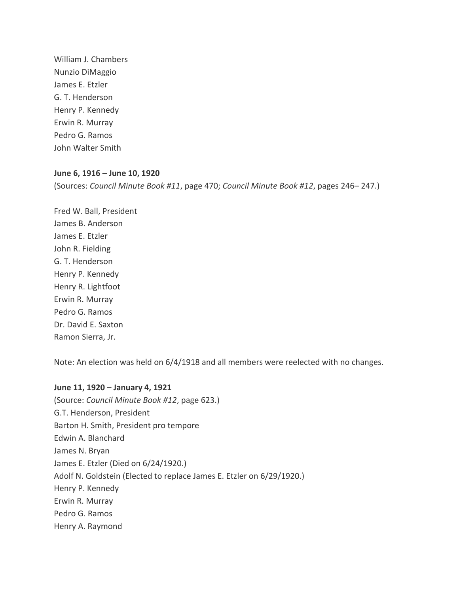William J. Chambers Nunzio DiMaggio James E. Etzler G. T. Henderson Henry P. Kennedy Erwin R. Murray Pedro G. Ramos John Walter Smith

#### **June 6, 1916 – June 10, 1920**

(Sources: *Council Minute Book #11*, page 470; *Council Minute Book #12*, pages 246– 247.)

Fred W. Ball, President James B. Anderson James E. Etzler John R. Fielding G. T. Henderson Henry P. Kennedy Henry R. Lightfoot Erwin R. Murray Pedro G. Ramos Dr. David E. Saxton Ramon Sierra, Jr.

Note: An election was held on 6/4/1918 and all members were reelected with no changes.

**June 11, 1920 – January 4, 1921** (Source: *Council Minute Book #12*, page 623.) G.T. Henderson, President Barton H. Smith, President pro tempore Edwin A. Blanchard James N. Bryan James E. Etzler (Died on 6/24/1920.) Adolf N. Goldstein (Elected to replace James E. Etzler on 6/29/1920.) Henry P. Kennedy Erwin R. Murray Pedro G. Ramos Henry A. Raymond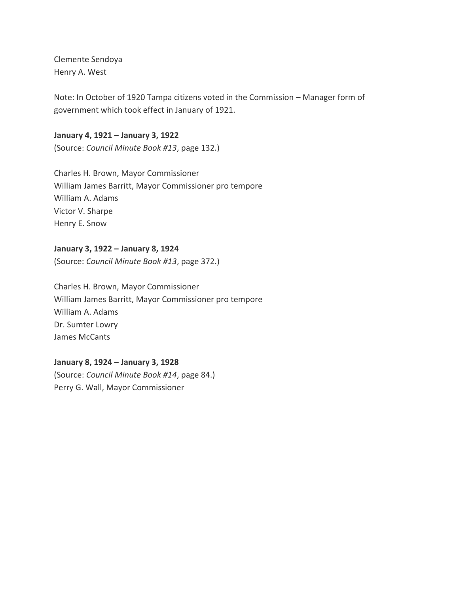Clemente Sendoya Henry A. West

Note: In October of 1920 Tampa citizens voted in the Commission – Manager form of government which took effect in January of 1921.

# **January 4, 1921 – January 3, 1922**

(Source: *Council Minute Book #13*, page 132.)

Charles H. Brown, Mayor Commissioner William James Barritt, Mayor Commissioner pro tempore William A. Adams Victor V. Sharpe Henry E. Snow

# **January 3, 1922 – January 8, 1924**

(Source: *Council Minute Book #13*, page 372.)

Charles H. Brown, Mayor Commissioner William James Barritt, Mayor Commissioner pro tempore William A. Adams Dr. Sumter Lowry James McCants

## **January 8, 1924 – January 3, 1928**

(Source: *Council Minute Book #14*, page 84.) Perry G. Wall, Mayor Commissioner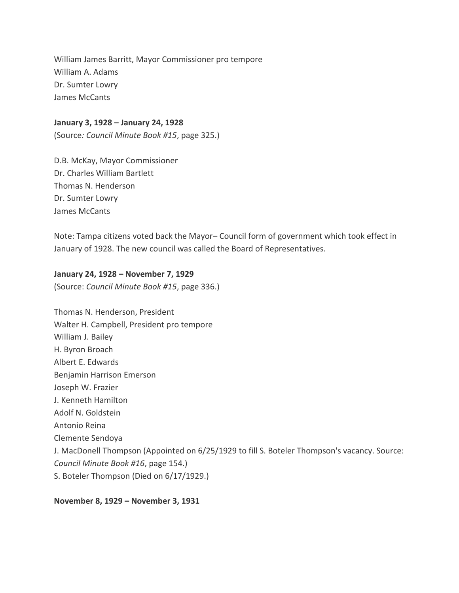William James Barritt, Mayor Commissioner pro tempore William A. Adams Dr. Sumter Lowry James McCants

#### **January 3, 1928 – January 24, 1928**

(Source*: Council Minute Book #15*, page 325.)

D.B. McKay, Mayor Commissioner Dr. Charles William Bartlett Thomas N. Henderson Dr. Sumter Lowry James McCants

Note: Tampa citizens voted back the Mayor– Council form of government which took effect in January of 1928. The new council was called the Board of Representatives.

#### **January 24, 1928 – November 7, 1929**

(Source: *Council Minute Book #15*, page 336.)

Thomas N. Henderson, President Walter H. Campbell, President pro tempore William J. Bailey H. Byron Broach Albert E. Edwards Benjamin Harrison Emerson Joseph W. Frazier J. Kenneth Hamilton Adolf N. Goldstein Antonio Reina Clemente Sendoya J. MacDonell Thompson (Appointed on 6/25/1929 to fill S. Boteler Thompson's vacancy. Source: *Council Minute Book #16*, page 154.) S. Boteler Thompson (Died on 6/17/1929.)

**November 8, 1929 – November 3, 1931**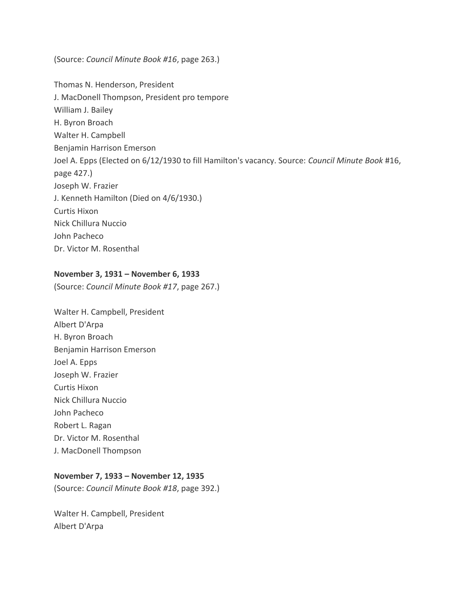(Source: *Council Minute Book #16*, page 263.)

Thomas N. Henderson, President J. MacDonell Thompson, President pro tempore William J. Bailey H. Byron Broach Walter H. Campbell Benjamin Harrison Emerson Joel A. Epps (Elected on 6/12/1930 to fill Hamilton's vacancy. Source: *Council Minute Book* #16, page 427.) Joseph W. Frazier J. Kenneth Hamilton (Died on 4/6/1930.) Curtis Hixon Nick Chillura Nuccio John Pacheco Dr. Victor M. Rosenthal

## **November 3, 1931 – November 6, 1933**

(Source: *Council Minute Book #17*, page 267.)

Walter H. Campbell, President Albert D'Arpa H. Byron Broach Benjamin Harrison Emerson Joel A. Epps Joseph W. Frazier Curtis Hixon Nick Chillura Nuccio John Pacheco Robert L. Ragan Dr. Victor M. Rosenthal J. MacDonell Thompson

## **November 7, 1933 – November 12, 1935**

(Source: *Council Minute Book #18*, page 392.)

Walter H. Campbell, President Albert D'Arpa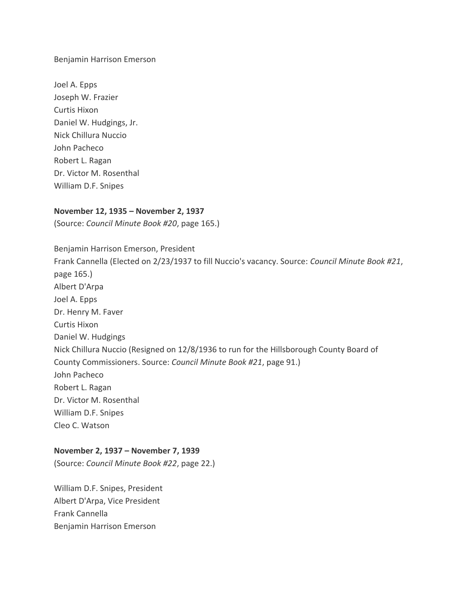Benjamin Harrison Emerson

Joel A. Epps Joseph W. Frazier Curtis Hixon Daniel W. Hudgings, Jr. Nick Chillura Nuccio John Pacheco Robert L. Ragan Dr. Victor M. Rosenthal William D.F. Snipes

## **November 12, 1935 – November 2, 1937**

(Source: *Council Minute Book #20*, page 165.)

Benjamin Harrison Emerson, President Frank Cannella (Elected on 2/23/1937 to fill Nuccio's vacancy. Source: *Council Minute Book #21*, page 165.) Albert D'Arpa Joel A. Epps Dr. Henry M. Faver Curtis Hixon Daniel W. Hudgings Nick Chillura Nuccio (Resigned on 12/8/1936 to run for the Hillsborough County Board of County Commissioners. Source: *Council Minute Book #21*, page 91.) John Pacheco Robert L. Ragan Dr. Victor M. Rosenthal William D.F. Snipes Cleo C. Watson

## **November 2, 1937 – November 7, 1939**

(Source: *Council Minute Book #22*, page 22.)

William D.F. Snipes, President Albert D'Arpa, Vice President Frank Cannella Benjamin Harrison Emerson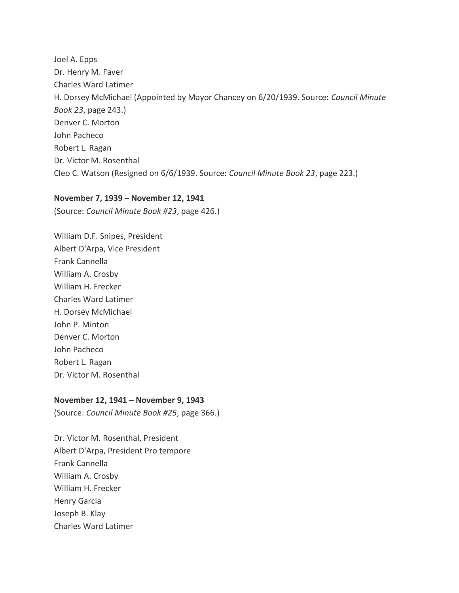Joel A. Epps Dr. Henry M. Faver Charles Ward Latimer H. Dorsey McMichael (Appointed by Mayor Chancey on 6/20/1939. Source: *Council Minute Book 23*, page 243.) Denver C. Morton John Pacheco Robert L. Ragan Dr. Victor M. Rosenthal Cleo C. Watson (Resigned on 6/6/1939. Source: *Council Minute Book 23*, page 223.)

#### **November 7, 1939 – November 12, 1941**

(Source: *Council Minute Book #23*, page 426.)

William D.F. Snipes, President Albert D'Arpa, Vice President Frank Cannella William A. Crosby William H. Frecker Charles Ward Latimer H. Dorsey McMichael John P. Minton Denver C. Morton John Pacheco Robert L. Ragan Dr. Victor M. Rosenthal

#### **November 12, 1941 – November 9, 1943**

(Source: *Council Minute Book #25*, page 366.)

Dr. Victor M. Rosenthal, President Albert D'Arpa, President Pro tempore Frank Cannella William A. Crosby William H. Frecker Henry Garcia Joseph B. Klay Charles Ward Latimer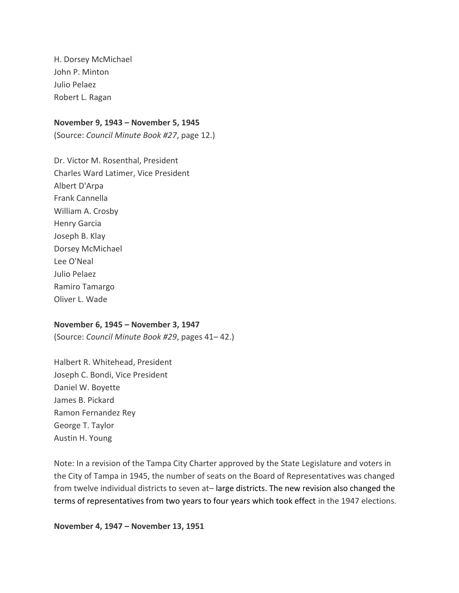H. Dorsey McMichael John P. Minton Julio Pelaez Robert L. Ragan

#### **November 9, 1943 – November 5, 1945**

(Source: *Council Minute Book #27*, page 12.)

Dr. Victor M. Rosenthal, President Charles Ward Latimer, Vice President Albert D'Arpa Frank Cannella William A. Crosby Henry Garcia Joseph B. Klay Dorsey McMichael Lee O'Neal Julio Pelaez Ramiro Tamargo Oliver L. Wade

#### **November 6, 1945 – November 3, 1947**

(Source: *Council Minute Book #29*, pages 41– 42.)

Halbert R. Whitehead, President Joseph C. Bondi, Vice President Daniel W. Boyette James B. Pickard Ramon Fernandez Rey George T. Taylor Austin H. Young

Note: In a revision of the Tampa City Charter approved by the State Legislature and voters in the City of Tampa in 1945, the number of seats on the Board of Representatives was changed from twelve individual districts to seven at-large districts. The new revision also changed the terms of representatives from two years to four years which took effect in the 1947 elections.

**November 4, 1947 – November 13, 1951**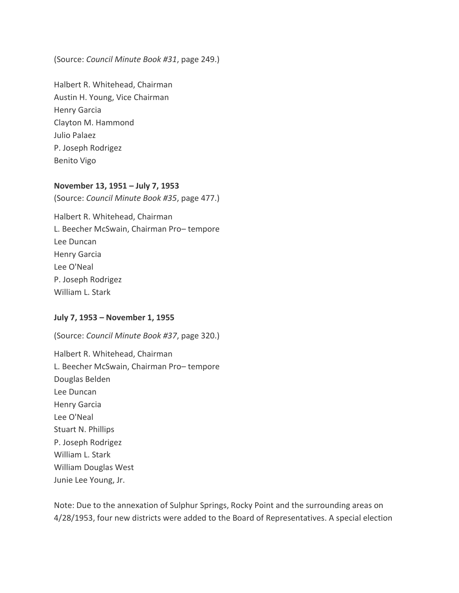(Source: *Council Minute Book #31*, page 249.)

Halbert R. Whitehead, Chairman Austin H. Young, Vice Chairman Henry Garcia Clayton M. Hammond Julio Palaez P. Joseph Rodrigez Benito Vigo

#### **November 13, 1951 – July 7, 1953**

(Source: *Council Minute Book #35*, page 477.)

Halbert R. Whitehead, Chairman L. Beecher McSwain, Chairman Pro– tempore Lee Duncan Henry Garcia Lee O'Neal P. Joseph Rodrigez William L. Stark

#### **July 7, 1953 – November 1, 1955**

(Source: *Council Minute Book #37*, page 320.) Halbert R. Whitehead, Chairman L. Beecher McSwain, Chairman Pro– tempore Douglas Belden Lee Duncan Henry Garcia Lee O'Neal Stuart N. Phillips P. Joseph Rodrigez William L. Stark William Douglas West Junie Lee Young, Jr.

Note: Due to the annexation of Sulphur Springs, Rocky Point and the surrounding areas on 4/28/1953, four new districts were added to the Board of Representatives. A special election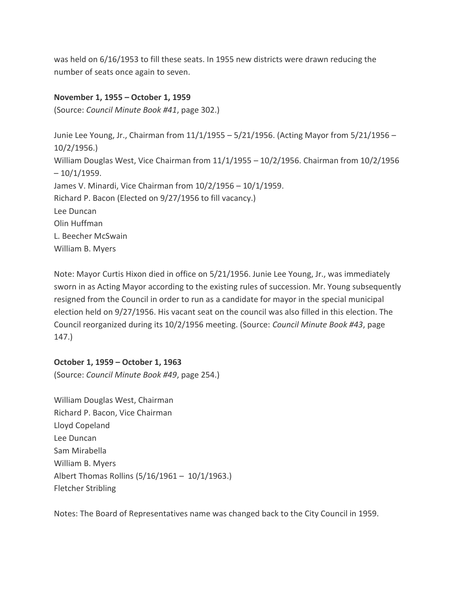was held on 6/16/1953 to fill these seats. In 1955 new districts were drawn reducing the number of seats once again to seven.

# **November 1, 1955 – October 1, 1959**

(Source: *Council Minute Book #41*, page 302.)

Junie Lee Young, Jr., Chairman from 11/1/1955 – 5/21/1956. (Acting Mayor from 5/21/1956 – 10/2/1956.) William Douglas West, Vice Chairman from 11/1/1955 – 10/2/1956. Chairman from 10/2/1956  $-10/1/1959.$ James V. Minardi, Vice Chairman from 10/2/1956 – 10/1/1959. Richard P. Bacon (Elected on 9/27/1956 to fill vacancy.) Lee Duncan Olin Huffman L. Beecher McSwain William B. Myers

Note: Mayor Curtis Hixon died in office on 5/21/1956. Junie Lee Young, Jr., was immediately sworn in as Acting Mayor according to the existing rules of succession. Mr. Young subsequently resigned from the Council in order to run as a candidate for mayor in the special municipal election held on 9/27/1956. His vacant seat on the council was also filled in this election. The Council reorganized during its 10/2/1956 meeting. (Source: *Council Minute Book #43*, page 147.)

## **October 1, 1959 – October 1, 1963**

(Source: *Council Minute Book #49*, page 254.)

William Douglas West, Chairman Richard P. Bacon, Vice Chairman Lloyd Copeland Lee Duncan Sam Mirabella William B. Myers Albert Thomas Rollins (5/16/1961 – 10/1/1963.) Fletcher Stribling

Notes: The Board of Representatives name was changed back to the City Council in 1959.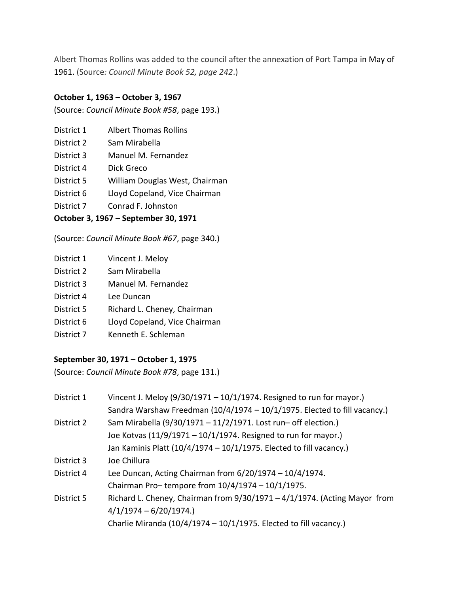Albert Thomas Rollins was added to the council after the annexation of Port Tampa in May of 1961. (Source*: Council Minute Book 52, page 242*.)

# **October 1, 1963 – October 3, 1967**

(Source: *Council Minute Book #58*, page 193.)

- District 1 Albert Thomas Rollins
- District 2 Sam Mirabella
- District 3 Manuel M. Fernandez
- District 4 Dick Greco
- District 5 William Douglas West, Chairman
- District 6 Lloyd Copeland, Vice Chairman
- District 7 Conrad F. Johnston

# **October 3, 1967 – September 30, 1971**

(Source: *Council Minute Book #67*, page 340.)

| District 1 | Vincent J. Meloy              |
|------------|-------------------------------|
|            |                               |
| District 2 | Sam Mirabella                 |
| District 3 | Manuel M. Fernandez           |
| District 4 | Lee Duncan                    |
| District 5 | Richard L. Cheney, Chairman   |
| District 6 | Lloyd Copeland, Vice Chairman |
| District 7 | Kenneth E. Schleman           |
|            |                               |

# **September 30, 1971 – October 1, 1975**

(Source: *Council Minute Book #78*, page 131.)

| District 1 | Vincent J. Meloy $(9/30/1971 - 10/1/1974$ . Resigned to run for mayor.)      |
|------------|------------------------------------------------------------------------------|
|            | Sandra Warshaw Freedman (10/4/1974 - 10/1/1975. Elected to fill vacancy.)    |
| District 2 | Sam Mirabella (9/30/1971 - 11/2/1971. Lost run- off election.)               |
|            | Joe Kotvas (11/9/1971 - 10/1/1974. Resigned to run for mayor.)               |
|            | Jan Kaminis Platt (10/4/1974 - 10/1/1975. Elected to fill vacancy.)          |
| District 3 | Joe Chillura                                                                 |
| District 4 | Lee Duncan, Acting Chairman from $6/20/1974 - 10/4/1974$ .                   |
|            | Chairman Pro-tempore from $10/4/1974 - 10/1/1975$ .                          |
| District 5 | Richard L. Cheney, Chairman from $9/30/1971 - 4/1/1974$ . (Acting Mayor from |
|            | $4/1/1974 - 6/20/1974.$                                                      |
|            | Charlie Miranda $(10/4/1974 - 10/1/1975$ . Elected to fill vacancy.)         |
|            |                                                                              |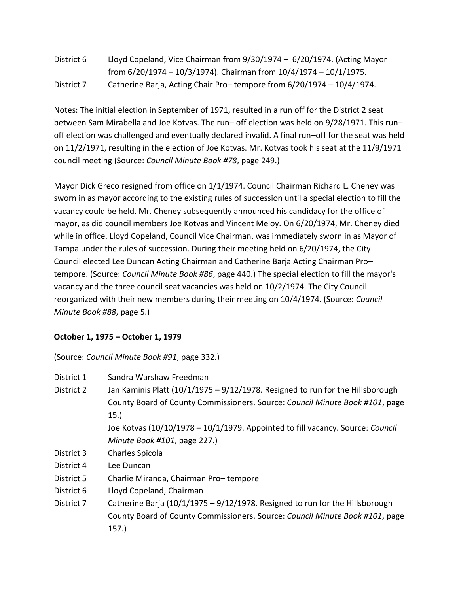| District 6 | Lloyd Copeland, Vice Chairman from $9/30/1974 - 6/20/1974$ . (Acting Mayor |
|------------|----------------------------------------------------------------------------|
|            | from $6/20/1974 - 10/3/1974$ ). Chairman from $10/4/1974 - 10/1/1975$ .    |
| District 7 | Catherine Barja, Acting Chair Pro-tempore from 6/20/1974 - 10/4/1974.      |

Notes: The initial election in September of 1971, resulted in a run off for the District 2 seat between Sam Mirabella and Joe Kotvas. The run– off election was held on 9/28/1971. This run– off election was challenged and eventually declared invalid. A final run–off for the seat was held on 11/2/1971, resulting in the election of Joe Kotvas. Mr. Kotvas took his seat at the 11/9/1971 council meeting (Source: *Council Minute Book #78*, page 249.)

Mayor Dick Greco resigned from office on 1/1/1974. Council Chairman Richard L. Cheney was sworn in as mayor according to the existing rules of succession until a special election to fill the vacancy could be held. Mr. Cheney subsequently announced his candidacy for the office of mayor, as did council members Joe Kotvas and Vincent Meloy. On 6/20/1974, Mr. Cheney died while in office. Lloyd Copeland, Council Vice Chairman, was immediately sworn in as Mayor of Tampa under the rules of succession. During their meeting held on 6/20/1974, the City Council elected Lee Duncan Acting Chairman and Catherine Barja Acting Chairman Pro– tempore. (Source: *Council Minute Book #86*, page 440.) The special election to fill the mayor's vacancy and the three council seat vacancies was held on 10/2/1974. The City Council reorganized with their new members during their meeting on 10/4/1974. (Source: *Council Minute Book #88*, page 5.)

# **October 1, 1975 – October 1, 1979**

(Source: *Council Minute Book #91*, page 332.)

| District 1 | Sandra Warshaw Freedman                                                        |
|------------|--------------------------------------------------------------------------------|
| District 2 | Jan Kaminis Platt (10/1/1975 - 9/12/1978. Resigned to run for the Hillsborough |
|            | County Board of County Commissioners. Source: Council Minute Book #101, page   |
|            | 15.                                                                            |
|            | Joe Kotvas (10/10/1978 - 10/1/1979. Appointed to fill vacancy. Source: Council |
|            | Minute Book #101, page 227.)                                                   |
| District 3 | Charles Spicola                                                                |

- District 4 Lee Duncan
- District 5 Charlie Miranda, Chairman Pro– tempore
- District 6 Lloyd Copeland, Chairman
- District 7 Catherine Barja  $(10/1/1975 9/12/1978)$ . Resigned to run for the Hillsborough County Board of County Commissioners. Source: *Council Minute Book #101*, page 157.)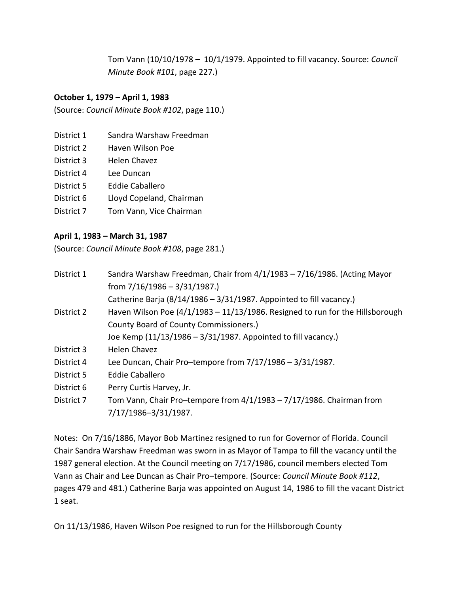Tom Vann (10/10/1978 – 10/1/1979. Appointed to fill vacancy. Source: *Council Minute Book #101*, page 227.)

## **October 1, 1979 – April 1, 1983**

(Source: *Council Minute Book #102*, page 110.)

- District 1 Sandra Warshaw Freedman
- District 2 Haven Wilson Poe
- District 3 Helen Chavez
- District 4 Lee Duncan
- District 5 Eddie Caballero
- District 6 Lloyd Copeland, Chairman
- District 7 Tom Vann, Vice Chairman

## **April 1, 1983 – March 31, 1987**

(Source: *Council Minute Book #108*, page 281.)

| District 1 | Sandra Warshaw Freedman, Chair from 4/1/1983 - 7/16/1986. (Acting Mayor       |
|------------|-------------------------------------------------------------------------------|
|            | from $7/16/1986 - 3/31/1987$ .)                                               |
|            | Catherine Barja $(8/14/1986 - 3/31/1987)$ . Appointed to fill vacancy.)       |
| District 2 | Haven Wilson Poe (4/1/1983 - 11/13/1986. Resigned to run for the Hillsborough |
|            | County Board of County Commissioners.)                                        |
|            | Joe Kemp (11/13/1986 - 3/31/1987. Appointed to fill vacancy.)                 |
| District 3 | <b>Helen Chavez</b>                                                           |
| District 4 | Lee Duncan, Chair Pro-tempore from $7/17/1986 - 3/31/1987$ .                  |
| District 5 | <b>Eddie Caballero</b>                                                        |
| District 6 | Perry Curtis Harvey, Jr.                                                      |
| District 7 | Tom Vann, Chair Pro-tempore from 4/1/1983 - 7/17/1986. Chairman from          |
|            | 7/17/1986-3/31/1987.                                                          |

Notes: On 7/16/1886, Mayor Bob Martinez resigned to run for Governor of Florida. Council Chair Sandra Warshaw Freedman was sworn in as Mayor of Tampa to fill the vacancy until the 1987 general election. At the Council meeting on 7/17/1986, council members elected Tom Vann as Chair and Lee Duncan as Chair Pro–tempore. (Source: *Council Minute Book #112*, pages 479 and 481.) Catherine Barja was appointed on August 14, 1986 to fill the vacant District 1 seat.

On 11/13/1986, Haven Wilson Poe resigned to run for the Hillsborough County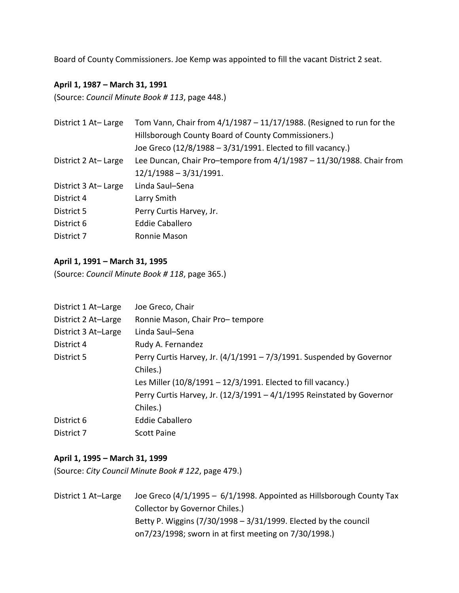Board of County Commissioners. Joe Kemp was appointed to fill the vacant District 2 seat.

# **April 1, 1987 – March 31, 1991**

(Source: *Council Minute Book # 113*, page 448.)

| District 1 At - Large | Tom Vann, Chair from $4/1/1987 - 11/17/1988$ . (Resigned to run for the |
|-----------------------|-------------------------------------------------------------------------|
|                       | Hillsborough County Board of County Commissioners.)                     |
|                       | Joe Greco (12/8/1988 - 3/31/1991. Elected to fill vacancy.)             |
| District 2 At-Large   | Lee Duncan, Chair Pro-tempore from $4/1/1987 - 11/30/1988$ . Chair from |
|                       | $12/1/1988 - 3/31/1991.$                                                |
| District 3 At-Large   | Linda Saul-Sena                                                         |
| District 4            | Larry Smith                                                             |
| District 5            | Perry Curtis Harvey, Jr.                                                |
| District 6            | <b>Eddie Caballero</b>                                                  |
| District 7            | Ronnie Mason                                                            |

## **April 1, 1991 – March 31, 1995**

(Source: *Council Minute Book # 118*, page 365.)

| District 1 At-Large | Joe Greco, Chair                                                        |
|---------------------|-------------------------------------------------------------------------|
| District 2 At-Large | Ronnie Mason, Chair Pro-tempore                                         |
| District 3 At-Large | Linda Saul-Sena                                                         |
| District 4          | Rudy A. Fernandez                                                       |
| District 5          | Perry Curtis Harvey, Jr. $(4/1/1991 - 7/3/1991$ . Suspended by Governor |
|                     | Chiles.)                                                                |
|                     | Les Miller (10/8/1991 - 12/3/1991. Elected to fill vacancy.)            |
|                     | Perry Curtis Harvey, Jr. (12/3/1991 - 4/1/1995 Reinstated by Governor   |
|                     | Chiles.)                                                                |
| District 6          | Eddie Caballero                                                         |
| District 7          | <b>Scott Paine</b>                                                      |

## **April 1, 1995 – March 31, 1999**

(Source: *City Council Minute Book # 122*, page 479.)

District 1 At-Large Joe Greco (4/1/1995 - 6/1/1998. Appointed as Hillsborough County Tax Collector by Governor Chiles.) Betty P. Wiggins (7/30/1998 – 3/31/1999. Elected by the council on7/23/1998; sworn in at first meeting on 7/30/1998.)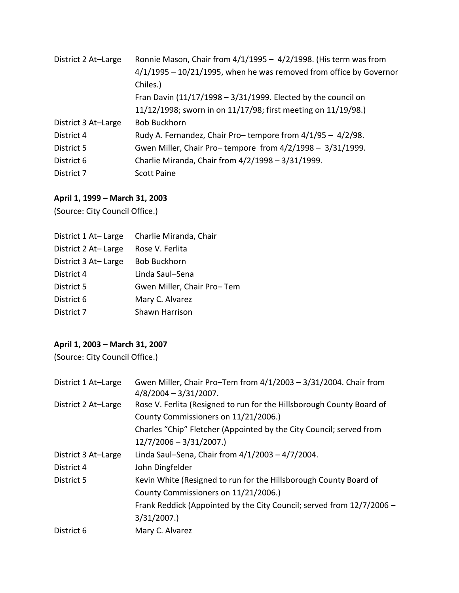| District 2 At-Large | Ronnie Mason, Chair from $4/1/1995 - 4/2/1998$ . (His term was from<br>$4/1/1995 - 10/21/1995$ , when he was removed from office by Governor<br>Chiles.)<br>Fran Davin $(11/17/1998 - 3/31/1999)$ . Elected by the council on<br>11/12/1998; sworn in on 11/17/98; first meeting on 11/19/98.) |
|---------------------|------------------------------------------------------------------------------------------------------------------------------------------------------------------------------------------------------------------------------------------------------------------------------------------------|
| District 3 At-Large | <b>Bob Buckhorn</b>                                                                                                                                                                                                                                                                            |
| District 4          | Rudy A. Fernandez, Chair Pro-tempore from 4/1/95 - 4/2/98.                                                                                                                                                                                                                                     |
| District 5          | Gwen Miller, Chair Pro-tempore from 4/2/1998 - 3/31/1999.                                                                                                                                                                                                                                      |
| District 6          | Charlie Miranda, Chair from 4/2/1998 - 3/31/1999.                                                                                                                                                                                                                                              |
| District 7          | <b>Scott Paine</b>                                                                                                                                                                                                                                                                             |

# **April 1, 1999 – March 31, 2003**

(Source: City Council Office.)

| Rose V. Ferlita            |
|----------------------------|
| <b>Bob Buckhorn</b>        |
| Linda Saul-Sena            |
| Gwen Miller, Chair Pro-Tem |
| Mary C. Alvarez            |
| Shawn Harrison             |
|                            |

# **April 1, 2003 – March 31, 2007**

(Source: City Council Office.)

| Gwen Miller, Chair Pro-Tem from 4/1/2003 - 3/31/2004. Chair from      |
|-----------------------------------------------------------------------|
| Rose V. Ferlita (Resigned to run for the Hillsborough County Board of |
|                                                                       |
| Charles "Chip" Fletcher (Appointed by the City Council; served from   |
|                                                                       |
| Linda Saul-Sena, Chair from $4/1/2003 - 4/7/2004$ .                   |
|                                                                       |
| Kevin White (Resigned to run for the Hillsborough County Board of     |
|                                                                       |
| Frank Reddick (Appointed by the City Council; served from 12/7/2006 - |
|                                                                       |
|                                                                       |
|                                                                       |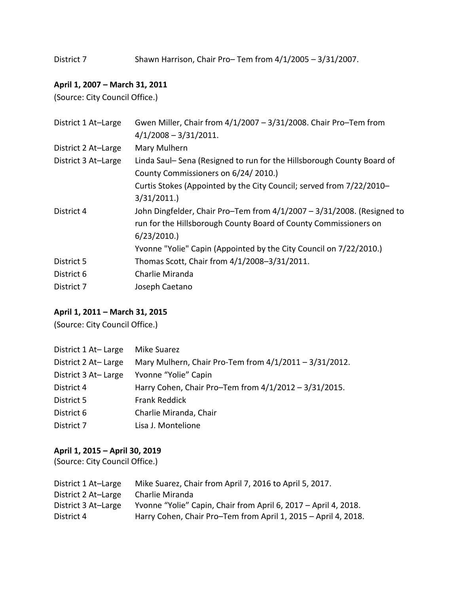District 7 Shawn Harrison, Chair Pro– Tem from  $4/1/2005 - 3/31/2007$ .

# **April 1, 2007 – March 31, 2011**

(Source: City Council Office.)

| District 1 At-Large | Gwen Miller, Chair from 4/1/2007 - 3/31/2008. Chair Pro-Tem from                                             |
|---------------------|--------------------------------------------------------------------------------------------------------------|
|                     | $4/1/2008 - 3/31/2011$ .                                                                                     |
| District 2 At-Large | Mary Mulhern                                                                                                 |
| District 3 At-Large | Linda Saul-Sena (Resigned to run for the Hillsborough County Board of<br>County Commissioners on 6/24/2010.) |
|                     | Curtis Stokes (Appointed by the City Council; served from 7/22/2010-                                         |
|                     | 3/31/2011.                                                                                                   |
| District 4          | John Dingfelder, Chair Pro-Tem from 4/1/2007 - 3/31/2008. (Resigned to                                       |
|                     | run for the Hillsborough County Board of County Commissioners on                                             |
|                     | 6/23/2010.                                                                                                   |
|                     | Yvonne "Yolie" Capin (Appointed by the City Council on 7/22/2010.)                                           |
| District 5          | Thomas Scott, Chair from 4/1/2008-3/31/2011.                                                                 |
| District 6          | Charlie Miranda                                                                                              |
| District 7          | Joseph Caetano                                                                                               |

# **April 1, 2011 – March 31, 2015**

(Source: City Council Office.)

| District 1 At-Large | <b>Mike Suarez</b>                                     |
|---------------------|--------------------------------------------------------|
| District 2 At-Large | Mary Mulhern, Chair Pro-Tem from 4/1/2011 - 3/31/2012. |
| District 3 At-Large | Yvonne "Yolie" Capin                                   |
| District 4          | Harry Cohen, Chair Pro-Tem from 4/1/2012 - 3/31/2015.  |
| District 5          | <b>Frank Reddick</b>                                   |
| District 6          | Charlie Miranda, Chair                                 |
| District 7          | Lisa J. Montelione                                     |

# **April 1, 2015 – April 30, 2019**

(Source: City Council Office.)

| District 1 At-Large | Mike Suarez, Chair from April 7, 2016 to April 5, 2017.         |
|---------------------|-----------------------------------------------------------------|
| District 2 At-Large | Charlie Miranda                                                 |
| District 3 At-Large | Yvonne "Yolie" Capin, Chair from April 6, 2017 - April 4, 2018. |
| District 4          | Harry Cohen, Chair Pro-Tem from April 1, 2015 - April 4, 2018.  |